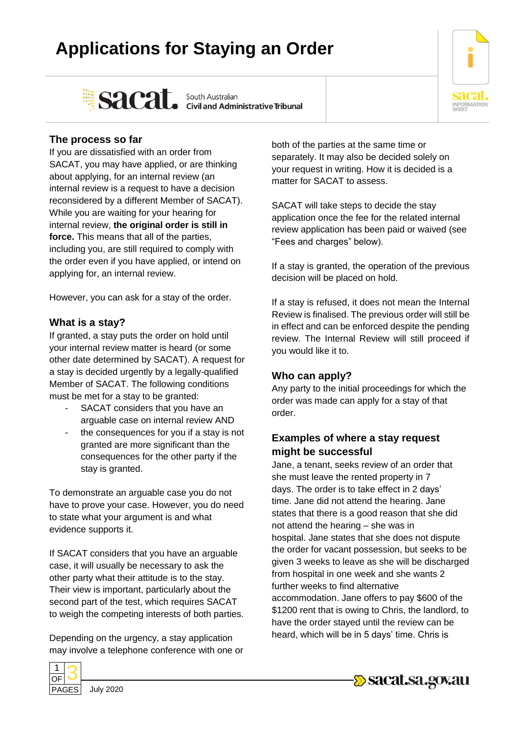# **Applications for Staying an Order**



Sacat. South Australian Sacarity Sacation

## **The process so far**

If you are dissatisfied with an order from SACAT, you may have applied, or are thinking about applying, for an internal review (an internal review is a request to have a decision reconsidered by a different Member of SACAT). While you are waiting for your hearing for internal review, **the original order is still in force.** This means that all of the parties, including you, are still required to comply with the order even if you have applied, or intend on applying for, an internal review.

However, you can ask for a stay of the order.

#### **What is a stay?**

If granted, a stay puts the order on hold until your internal review matter is heard (or some other date determined by SACAT). A request for a stay is decided urgently by a legally-qualified Member of SACAT. The following conditions must be met for a stay to be granted:

- SACAT considers that you have an arguable case on internal review AND
- the consequences for you if a stay is not granted are more significant than the consequences for the other party if the stay is granted.

To demonstrate an arguable case you do not have to prove your case. However, you do need to state what your argument is and what evidence supports it.

If SACAT considers that you have an arguable case, it will usually be necessary to ask the other party what their attitude is to the stay. Their view is important, particularly about the second part of the test, which requires SACAT to weigh the competing interests of both parties.

Depending on the urgency, a stay application may involve a telephone conference with one or



PAGES July 2020

both of the parties at the same time or separately. It may also be decided solely on your request in writing. How it is decided is a matter for SACAT to assess.

SACAT will take steps to decide the stay application once the fee for the related internal review application has been paid or waived (see "Fees and charges" below).

If a stay is granted, the operation of the previous decision will be placed on hold.

If a stay is refused, it does not mean the Internal Review is finalised. The previous order will still be in effect and can be enforced despite the pending review. The Internal Review will still proceed if you would like it to.

#### **Who can apply?**

Any party to the initial proceedings for which the order was made can apply for a stay of that order.

## **Examples of where a stay request might be successful**

Jane, a tenant, seeks review of an order that she must leave the rented property in 7 days. The order is to take effect in 2 days' time. Jane did not attend the hearing. Jane states that there is a good reason that she did not attend the hearing – she was in hospital. Jane states that she does not dispute the order for vacant possession, but seeks to be given 3 weeks to leave as she will be discharged from hospital in one week and she wants 2 further weeks to find alternative accommodation. Jane offers to pay \$600 of the \$1200 rent that is owing to Chris, the landlord, to have the order stayed until the review can be heard, which will be in 5 days' time. Chris is

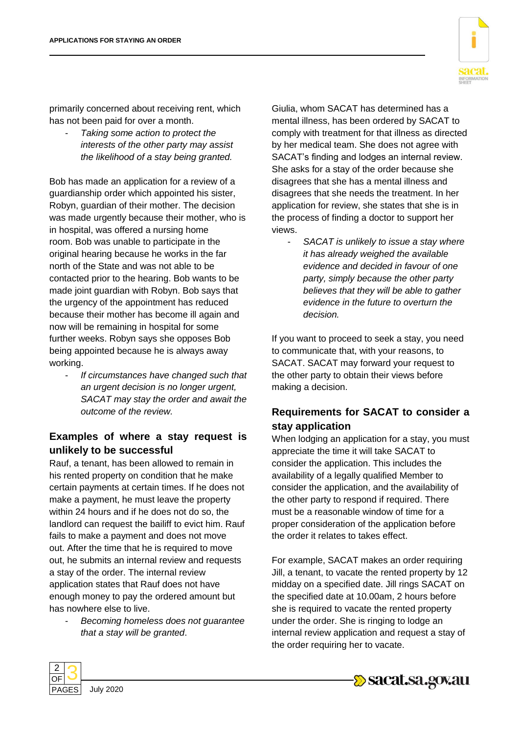primarily concerned about receiving rent, which has not been paid for over a month.

- *Taking some action to protect the interests of the other party may assist the likelihood of a stay being granted.*

Bob has made an application for a review of a guardianship order which appointed his sister, Robyn, guardian of their mother. The decision was made urgently because their mother, who is in hospital, was offered a nursing home room. Bob was unable to participate in the original hearing because he works in the far north of the State and was not able to be contacted prior to the hearing. Bob wants to be made joint guardian with Robyn. Bob says that the urgency of the appointment has reduced because their mother has become ill again and now will be remaining in hospital for some further weeks. Robyn says she opposes Bob being appointed because he is always away working.

- *If circumstances have changed such that an urgent decision is no longer urgent, SACAT may stay the order and await the outcome of the review.*

## **Examples of where a stay request is unlikely to be successful**

Rauf, a tenant, has been allowed to remain in his rented property on condition that he make certain payments at certain times. If he does not make a payment, he must leave the property within 24 hours and if he does not do so, the landlord can request the bailiff to evict him. Rauf fails to make a payment and does not move out. After the time that he is required to move out, he submits an internal review and requests a stay of the order. The internal review application states that Rauf does not have enough money to pay the ordered amount but has nowhere else to live.

- *Becoming homeless does not guarantee that a stay will be granted*.

Giulia, whom SACAT has determined has a mental illness, has been ordered by SACAT to comply with treatment for that illness as directed by her medical team. She does not agree with SACAT's finding and lodges an internal review. She asks for a stay of the order because she disagrees that she has a mental illness and disagrees that she needs the treatment. In her application for review, she states that she is in the process of finding a doctor to support her views.

- *SACAT is unlikely to issue a stay where it has already weighed the available evidence and decided in favour of one party, simply because the other party believes that they will be able to gather evidence in the future to overturn the decision.*

If you want to proceed to seek a stay, you need to communicate that, with your reasons, to SACAT. SACAT may forward your request to the other party to obtain their views before making a decision.

#### **Requirements for SACAT to consider a stay application**

When lodging an application for a stay, you must appreciate the time it will take SACAT to consider the application. This includes the availability of a legally qualified Member to consider the application, and the availability of the other party to respond if required. There must be a reasonable window of time for a proper consideration of the application before the order it relates to takes effect.

For example, SACAT makes an order requiring Jill, a tenant, to vacate the rented property by 12 midday on a specified date. Jill rings SACAT on the specified date at 10.00am, 2 hours before she is required to vacate the rented property under the order. She is ringing to lodge an internal review application and request a stay of the order requiring her to vacate.

2  $\cap$ F